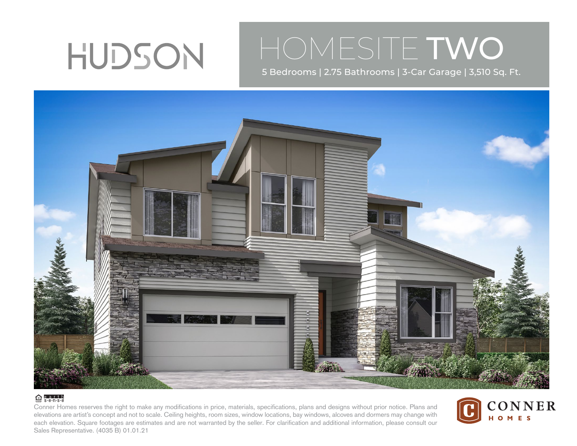

## HOMESITE TWO

5 Bedrooms | 2.75 Bathrooms | 3-Car Garage | 3,510 Sq. Ft.



## $\bigoplus$  e.a.r.t.h

Conner Homes reserves the right to make any modifications in price, materials, specifications, plans and designs without prior notice. Plans and elevations are artist's concept and not to scale. Ceiling heights, room sizes, window locations, bay windows, alcoves and dormers may change with each elevation. Square footages are estimates and are not warranted by the seller. For clarification and additional information, please consult our Sales Representative. (4035 B) 01.01.21